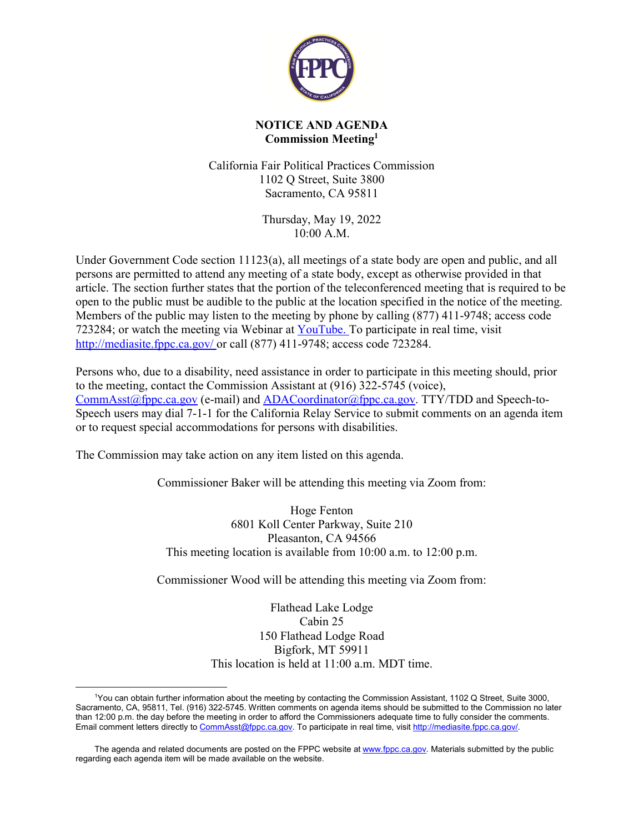

## **NOTICE AND AGENDA Commission Meeting[1](#page-0-0)**

California Fair Political Practices Commission 1102 Q Street, Suite 3800 Sacramento, CA 95811

> Thursday, May 19, 2022 10:00 A.M.

Under Government Code section 11123(a), all meetings of a state body are open and public, and all persons are permitted to attend any meeting of a state body, except as otherwise provided in that article. The section further states that the portion of the teleconferenced meeting that is required to be open to the public must be audible to the public at the location specified in the notice of the meeting. Members of the public may listen to the meeting by phone by calling (877) 411-9748; access code 723284; or watch the meeting via Webinar at [YouTube](http://www.youtube.com/user/CAFPPC/live). To participate in real time, visit <http://mediasite.fppc.ca.gov/> or call (877) 411-9748; access code 723284.

Persons who, due to a disability, need assistance in order to participate in this meeting should, prior to the meeting, contact the Commission Assistant at (916) 322-5745 (voice), [CommAsst@fppc.ca.gov](mailto:CommAsst@fppc.ca.gov) (e-mail) and [ADACoordinator@fppc.ca.gov](mailto:ADACoordinator@fppc.ca.gov). TTY/TDD and Speech-to-Speech users may dial 7-1-1 for the California Relay Service to submit comments on an agenda item or to request special accommodations for persons with disabilities.

The Commission may take action on any item listed on this agenda.

Commissioner Baker will be attending this meeting via Zoom from:

Hoge Fenton 6801 Koll Center Parkway, Suite 210 Pleasanton, CA 94566 This meeting location is available from 10:00 a.m. to 12:00 p.m.

Commissioner Wood will be attending this meeting via Zoom from:

Flathead Lake Lodge Cabin 25 150 Flathead Lodge Road Bigfork, MT 59911 This location is held at 11:00 a.m. MDT time.

<span id="page-0-0"></span> $\overline{a}$ <sup>1</sup>You can obtain further information about the meeting by contacting the Commission Assistant, 1102 Q Street, Suite 3000, Sacramento, CA, 95811, Tel. (916) 322-5745. Written comments on agenda items should be submitted to the Commission no later than 12:00 p.m. the day before the meeting in order to afford the Commissioners adequate time to fully consider the comments. Email comment letters directly to [CommAsst@fppc.ca.gov](mailto:CommAsst@fppc.ca.gov). To participate in real time, visit <http://mediasite.fppc.ca.gov/>.

The agenda and related documents are posted on the FPPC website at [www.fppc.ca.gov](http://www.fppc.ca.gov/). Materials submitted by the public regarding each agenda item will be made available on the website.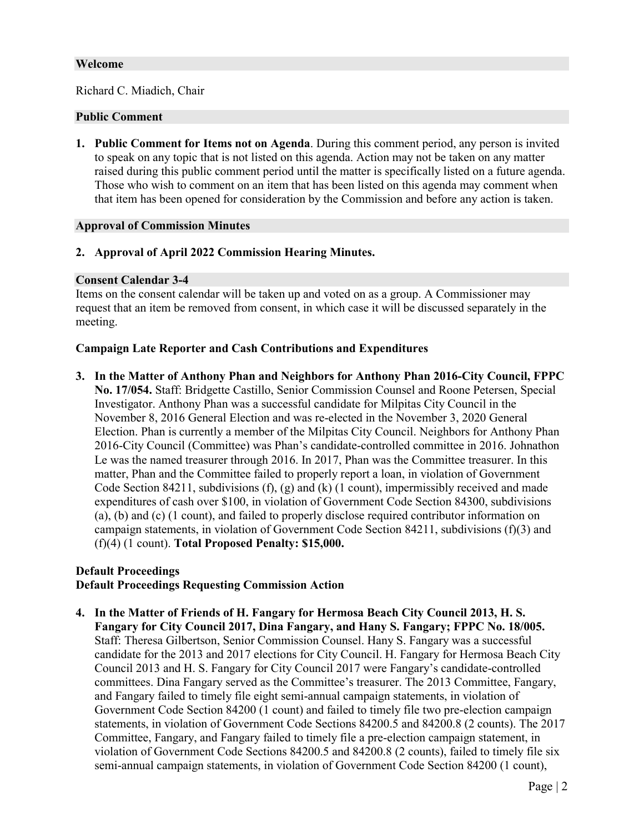#### **Welcome**

Richard C. Miadich, Chair

#### **Public Comment**

**1. Public Comment for Items not on Agenda**. During this comment period, any person is invited to speak on any topic that is not listed on this agenda. Action may not be taken on any matter raised during this public comment period until the matter is specifically listed on a future agenda. Those who wish to comment on an item that has been listed on this agenda may comment when that item has been opened for consideration by the Commission and before any action is taken.

## **Approval of Commission Minutes**

# **2. Approval of April 2022 Commission Hearing Minutes.**

#### **Consent Calendar 3-4**

Items on the consent calendar will be taken up and voted on as a group. A Commissioner may request that an item be removed from consent, in which case it will be discussed separately in the meeting.

## **Campaign Late Reporter and Cash Contributions and Expenditures**

**3. In the Matter of Anthony Phan and Neighbors for Anthony Phan 2016-City Council, FPPC No. 17/054.** Staff: Bridgette Castillo, Senior Commission Counsel and Roone Petersen, Special Investigator. Anthony Phan was a successful candidate for Milpitas City Council in the November 8, 2016 General Election and was re-elected in the November 3, 2020 General Election. Phan is currently a member of the Milpitas City Council. Neighbors for Anthony Phan 2016-City Council (Committee) was Phan's candidate-controlled committee in 2016. Johnathon Le was the named treasurer through 2016. In 2017, Phan was the Committee treasurer. In this matter, Phan and the Committee failed to properly report a loan, in violation of Government Code Section 84211, subdivisions  $(f)$ ,  $(g)$  and  $(k)$  (1 count), impermissibly received and made expenditures of cash over \$100, in violation of Government Code Section 84300, subdivisions (a), (b) and (c) (1 count), and failed to properly disclose required contributor information on campaign statements, in violation of Government Code Section 84211, subdivisions (f)(3) and (f)(4) (1 count). **Total Proposed Penalty: \$15,000.**

# **Default Proceedings Default Proceedings Requesting Commission Action**

**4. In the Matter of Friends of H. Fangary for Hermosa Beach City Council 2013, H. S. Fangary for City Council 2017, Dina Fangary, and Hany S. Fangary; FPPC No. 18/005.** Staff: Theresa Gilbertson, Senior Commission Counsel. Hany S. Fangary was a successful candidate for the 2013 and 2017 elections for City Council. H. Fangary for Hermosa Beach City Council 2013 and H. S. Fangary for City Council 2017 were Fangary's candidate-controlled committees. Dina Fangary served as the Committee's treasurer. The 2013 Committee, Fangary, and Fangary failed to timely file eight semi-annual campaign statements, in violation of Government Code Section 84200 (1 count) and failed to timely file two pre-election campaign statements, in violation of Government Code Sections 84200.5 and 84200.8 (2 counts). The 2017 Committee, Fangary, and Fangary failed to timely file a pre-election campaign statement, in violation of Government Code Sections 84200.5 and 84200.8 (2 counts), failed to timely file six semi-annual campaign statements, in violation of Government Code Section 84200 (1 count),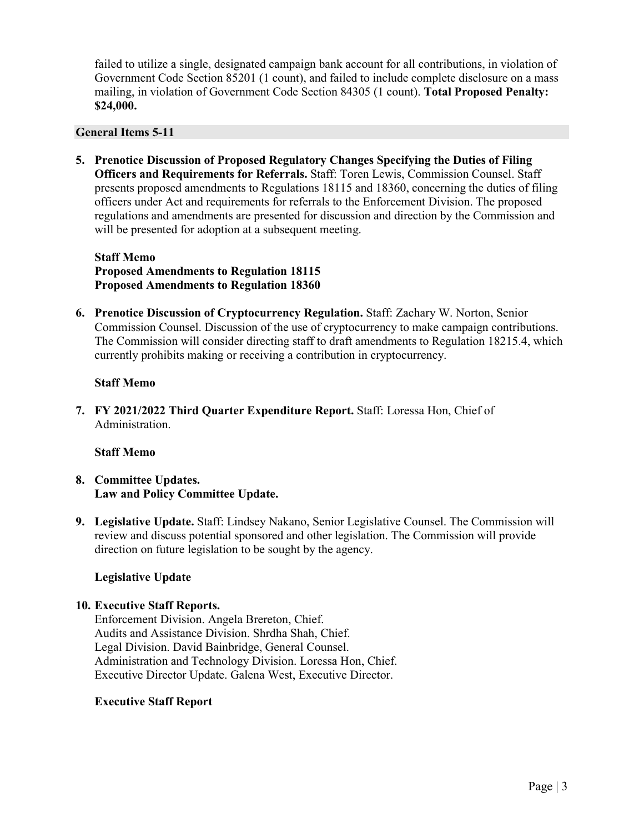failed to utilize a single, designated campaign bank account for all contributions, in violation of Government Code Section 85201 (1 count), and failed to include complete disclosure on a mass mailing, in violation of Government Code Section 84305 (1 count). **Total Proposed Penalty: \$24,000.**

## **General Items 5-11**

**5. Prenotice Discussion of Proposed Regulatory Changes Specifying the Duties of Filing Officers and Requirements for Referrals.** Staff: Toren Lewis, Commission Counsel. Staff presents proposed amendments to Regulations 18115 and 18360, concerning the duties of filing officers under Act and requirements for referrals to the Enforcement Division. The proposed regulations and amendments are presented for discussion and direction by the Commission and will be presented for adoption at a subsequent meeting.

## **Staff Memo Proposed Amendments to Regulation 18115 Proposed Amendments to Regulation 18360**

**6. Prenotice Discussion of Cryptocurrency Regulation.** Staff: Zachary W. Norton, Senior Commission Counsel. Discussion of the use of cryptocurrency to make campaign contributions. The Commission will consider directing staff to draft amendments to Regulation 18215.4, which currently prohibits making or receiving a contribution in cryptocurrency.

# **Staff Memo**

**7. FY 2021/2022 Third Quarter Expenditure Report.** Staff: Loressa Hon, Chief of Administration.

#### **Staff Memo**

# **8. Committee Updates. Law and Policy Committee Update.**

**9. Legislative Update.** Staff: Lindsey Nakano, Senior Legislative Counsel. The Commission will review and discuss potential sponsored and other legislation. The Commission will provide direction on future legislation to be sought by the agency.

# **Legislative Update**

# **10. Executive Staff Reports.**

Enforcement Division. Angela Brereton, Chief. Audits and Assistance Division. Shrdha Shah, Chief. Legal Division. David Bainbridge, General Counsel. Administration and Technology Division. Loressa Hon, Chief. Executive Director Update. Galena West, Executive Director.

#### **Executive Staff Report**